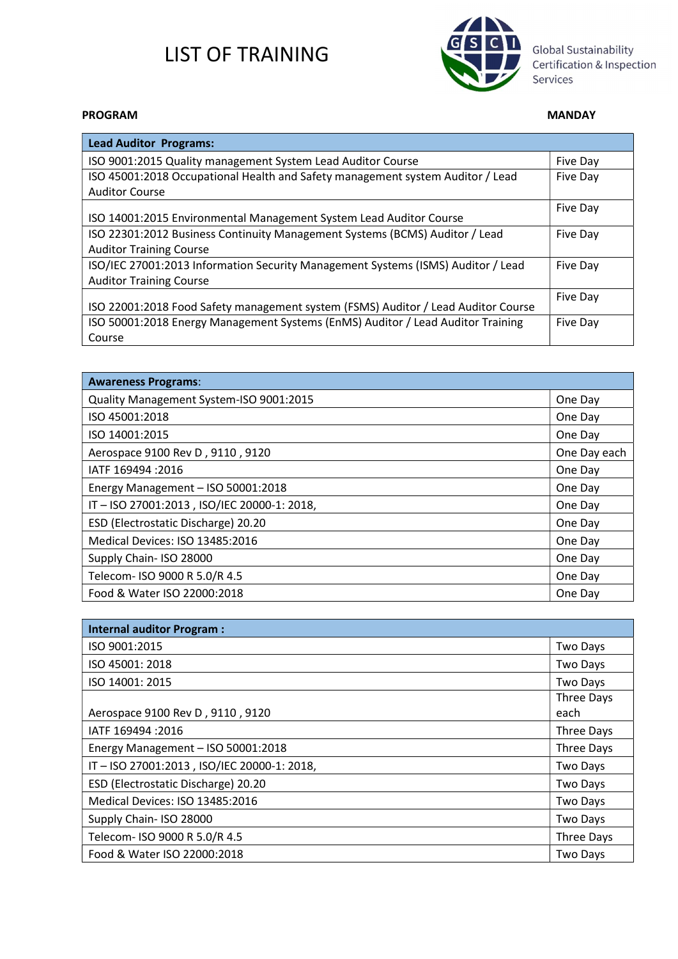

Global Sustainability Certification & Inspection Services

#### PROGRAM MANDAY

| <b>Lead Auditor Programs:</b>                                                     |          |
|-----------------------------------------------------------------------------------|----------|
| ISO 9001:2015 Quality management System Lead Auditor Course                       | Five Day |
| ISO 45001:2018 Occupational Health and Safety management system Auditor / Lead    | Five Day |
| <b>Auditor Course</b>                                                             |          |
| ISO 14001:2015 Environmental Management System Lead Auditor Course                | Five Day |
| ISO 22301:2012 Business Continuity Management Systems (BCMS) Auditor / Lead       | Five Day |
| <b>Auditor Training Course</b>                                                    |          |
| ISO/IEC 27001:2013 Information Security Management Systems (ISMS) Auditor / Lead  | Five Day |
| <b>Auditor Training Course</b>                                                    |          |
| ISO 22001:2018 Food Safety management system (FSMS) Auditor / Lead Auditor Course | Five Day |
| ISO 50001:2018 Energy Management Systems (EnMS) Auditor / Lead Auditor Training   | Five Day |
| Course                                                                            |          |

| <b>Awareness Programs:</b>                |              |
|-------------------------------------------|--------------|
| Quality Management System-ISO 9001:2015   | One Day      |
| ISO 45001:2018                            | One Day      |
| ISO 14001:2015                            | One Day      |
| Aerospace 9100 Rev D, 9110, 9120          | One Day each |
| IATF 169494 : 2016                        | One Day      |
| Energy Management - ISO 50001:2018        | One Day      |
| IT-ISO 27001:2013, ISO/IEC 20000-1: 2018, | One Day      |
| ESD (Electrostatic Discharge) 20.20       | One Day      |
| Medical Devices: ISO 13485:2016           | One Day      |
| Supply Chain- ISO 28000                   | One Day      |
| Telecom- ISO 9000 R 5.0/R 4.5             | One Day      |
| Food & Water ISO 22000:2018               | One Day      |

| <b>Internal auditor Program:</b>          |            |
|-------------------------------------------|------------|
| ISO 9001:2015                             | Two Days   |
| ISO 45001: 2018                           | Two Days   |
| ISO 14001: 2015                           | Two Days   |
|                                           | Three Days |
| Aerospace 9100 Rev D, 9110, 9120          | each       |
| IATF 169494 : 2016                        | Three Days |
| Energy Management - ISO 50001:2018        | Three Days |
| IT-ISO 27001:2013, ISO/IEC 20000-1: 2018, | Two Days   |
| ESD (Electrostatic Discharge) 20.20       | Two Days   |
| Medical Devices: ISO 13485:2016           | Two Days   |
| Supply Chain- ISO 28000                   | Two Days   |
| Telecom- ISO 9000 R 5.0/R 4.5             | Three Days |
| Food & Water ISO 22000:2018               | Two Days   |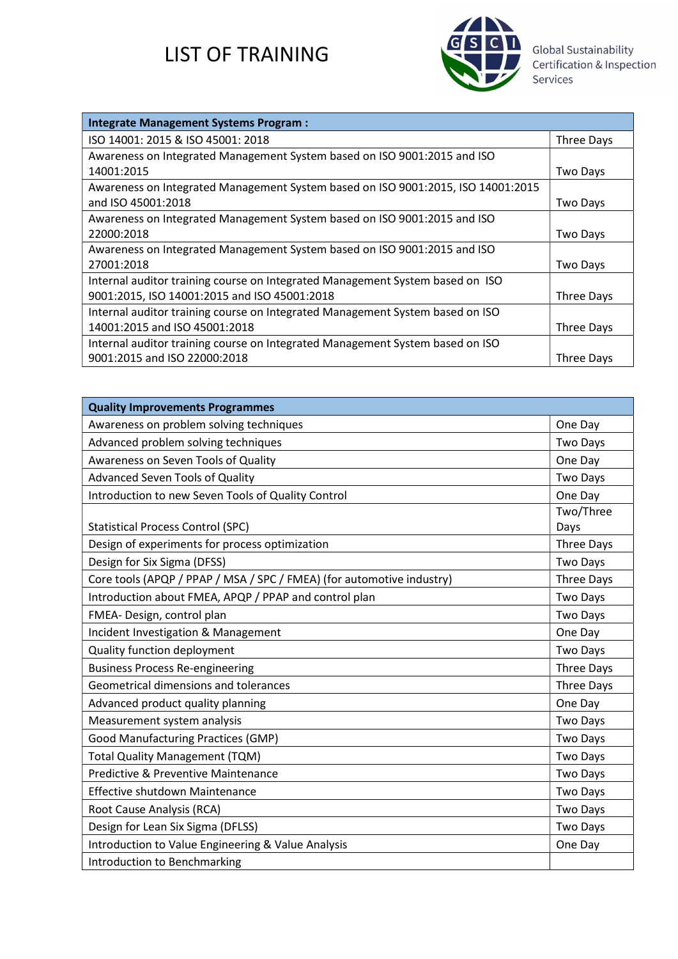

Global Sustainability<br>Certification & Inspection<br>Services

| <b>Integrate Management Systems Program:</b>                                     |            |
|----------------------------------------------------------------------------------|------------|
| ISO 14001: 2015 & ISO 45001: 2018                                                | Three Days |
| Awareness on Integrated Management System based on ISO 9001:2015 and ISO         |            |
| 14001:2015                                                                       | Two Days   |
| Awareness on Integrated Management System based on ISO 9001:2015, ISO 14001:2015 |            |
| and ISO 45001:2018                                                               | Two Days   |
| Awareness on Integrated Management System based on ISO 9001:2015 and ISO         |            |
| 22000:2018                                                                       | Two Days   |
| Awareness on Integrated Management System based on ISO 9001:2015 and ISO         |            |
| 27001:2018                                                                       | Two Days   |
| Internal auditor training course on Integrated Management System based on ISO    |            |
| 9001:2015, ISO 14001:2015 and ISO 45001:2018                                     | Three Days |
| Internal auditor training course on Integrated Management System based on ISO    |            |
| 14001:2015 and ISO 45001:2018                                                    | Three Days |
| Internal auditor training course on Integrated Management System based on ISO    |            |
| 9001:2015 and ISO 22000:2018                                                     | Three Days |

| <b>Quality Improvements Programmes</b>                                |                   |
|-----------------------------------------------------------------------|-------------------|
| Awareness on problem solving techniques                               | One Day           |
| Advanced problem solving techniques                                   | <b>Two Days</b>   |
| Awareness on Seven Tools of Quality                                   | One Day           |
| <b>Advanced Seven Tools of Quality</b>                                | <b>Two Days</b>   |
| Introduction to new Seven Tools of Quality Control                    | One Day           |
| <b>Statistical Process Control (SPC)</b>                              | Two/Three<br>Days |
| Design of experiments for process optimization                        | Three Days        |
| Design for Six Sigma (DFSS)                                           | Two Days          |
| Core tools (APQP / PPAP / MSA / SPC / FMEA) (for automotive industry) | Three Days        |
| Introduction about FMEA, APQP / PPAP and control plan                 | <b>Two Days</b>   |
| FMEA- Design, control plan                                            | <b>Two Days</b>   |
| Incident Investigation & Management                                   | One Day           |
| Quality function deployment                                           | <b>Two Days</b>   |
| <b>Business Process Re-engineering</b>                                | Three Days        |
| Geometrical dimensions and tolerances                                 | Three Days        |
| Advanced product quality planning                                     | One Day           |
| Measurement system analysis                                           | Two Days          |
| <b>Good Manufacturing Practices (GMP)</b>                             | <b>Two Days</b>   |
| <b>Total Quality Management (TQM)</b>                                 | <b>Two Days</b>   |
| Predictive & Preventive Maintenance                                   | Two Days          |
| Effective shutdown Maintenance                                        | <b>Two Days</b>   |
| Root Cause Analysis (RCA)                                             | <b>Two Days</b>   |
| Design for Lean Six Sigma (DFLSS)                                     | <b>Two Days</b>   |
| Introduction to Value Engineering & Value Analysis                    | One Day           |
| Introduction to Benchmarking                                          |                   |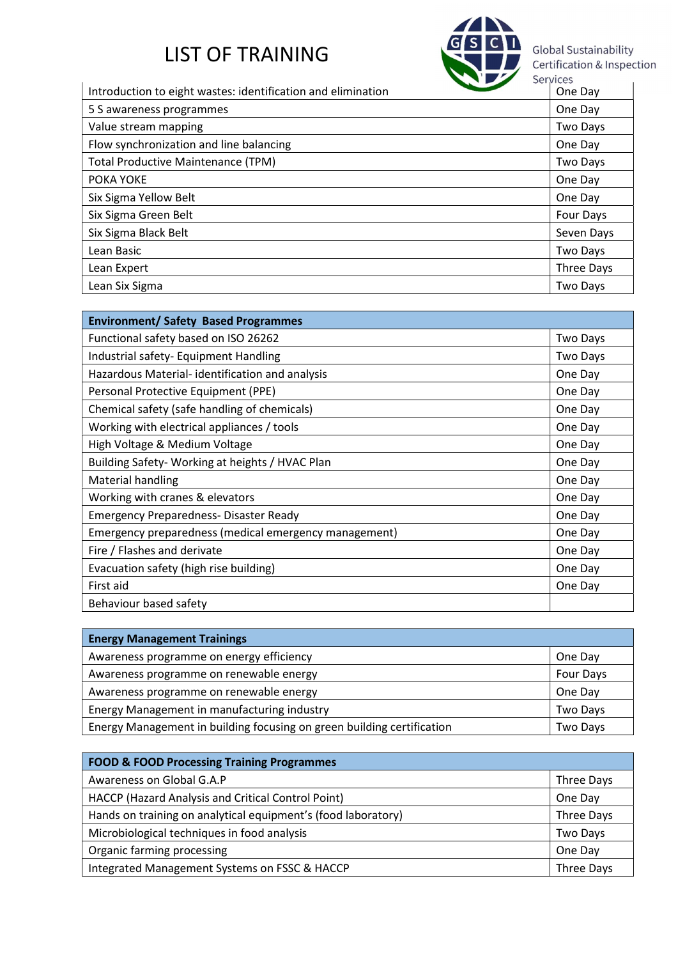

Introduction to eight wastes: identification and elimination **CONTING Services** Services

|                                           | 011 U.V         |
|-------------------------------------------|-----------------|
| 5 S awareness programmes                  | One Day         |
| Value stream mapping                      | <b>Two Days</b> |
| Flow synchronization and line balancing   | One Day         |
| <b>Total Productive Maintenance (TPM)</b> | <b>Two Days</b> |
| POKA YOKE                                 | One Day         |
| Six Sigma Yellow Belt                     | One Day         |
| Six Sigma Green Belt                      | Four Days       |
| Six Sigma Black Belt                      | Seven Days      |
| Lean Basic                                | Two Days        |
| Lean Expert                               | Three Days      |
| Lean Six Sigma                            | Two Days        |

| <b>Environment/ Safety Based Programmes</b>           |                 |
|-------------------------------------------------------|-----------------|
| Functional safety based on ISO 26262                  | Two Days        |
| Industrial safety- Equipment Handling                 | <b>Two Days</b> |
| Hazardous Material-identification and analysis        | One Day         |
| Personal Protective Equipment (PPE)                   | One Day         |
| Chemical safety (safe handling of chemicals)          | One Day         |
| Working with electrical appliances / tools            | One Day         |
| High Voltage & Medium Voltage                         | One Day         |
| Building Safety-Working at heights / HVAC Plan        | One Day         |
| <b>Material handling</b>                              | One Day         |
| Working with cranes & elevators                       | One Day         |
| <b>Emergency Preparedness- Disaster Ready</b>         | One Day         |
| Emergency preparedness (medical emergency management) | One Day         |
| Fire / Flashes and derivate                           | One Day         |
| Evacuation safety (high rise building)                | One Day         |
| First aid                                             | One Day         |
| Behaviour based safety                                |                 |

| <b>Energy Management Trainings</b>                                     |           |
|------------------------------------------------------------------------|-----------|
| Awareness programme on energy efficiency                               | One Day   |
| Awareness programme on renewable energy                                | Four Days |
| Awareness programme on renewable energy                                | One Day   |
| Energy Management in manufacturing industry                            | Two Days  |
| Energy Management in building focusing on green building certification | Two Days  |

| <b>FOOD &amp; FOOD Processing Training Programmes</b>         |            |
|---------------------------------------------------------------|------------|
| Awareness on Global G.A.P                                     | Three Days |
| HACCP (Hazard Analysis and Critical Control Point)            | One Day    |
| Hands on training on analytical equipment's (food laboratory) | Three Days |
| Microbiological techniques in food analysis                   | Two Days   |
| Organic farming processing                                    | One Day    |
| Integrated Management Systems on FSSC & HACCP                 | Three Days |